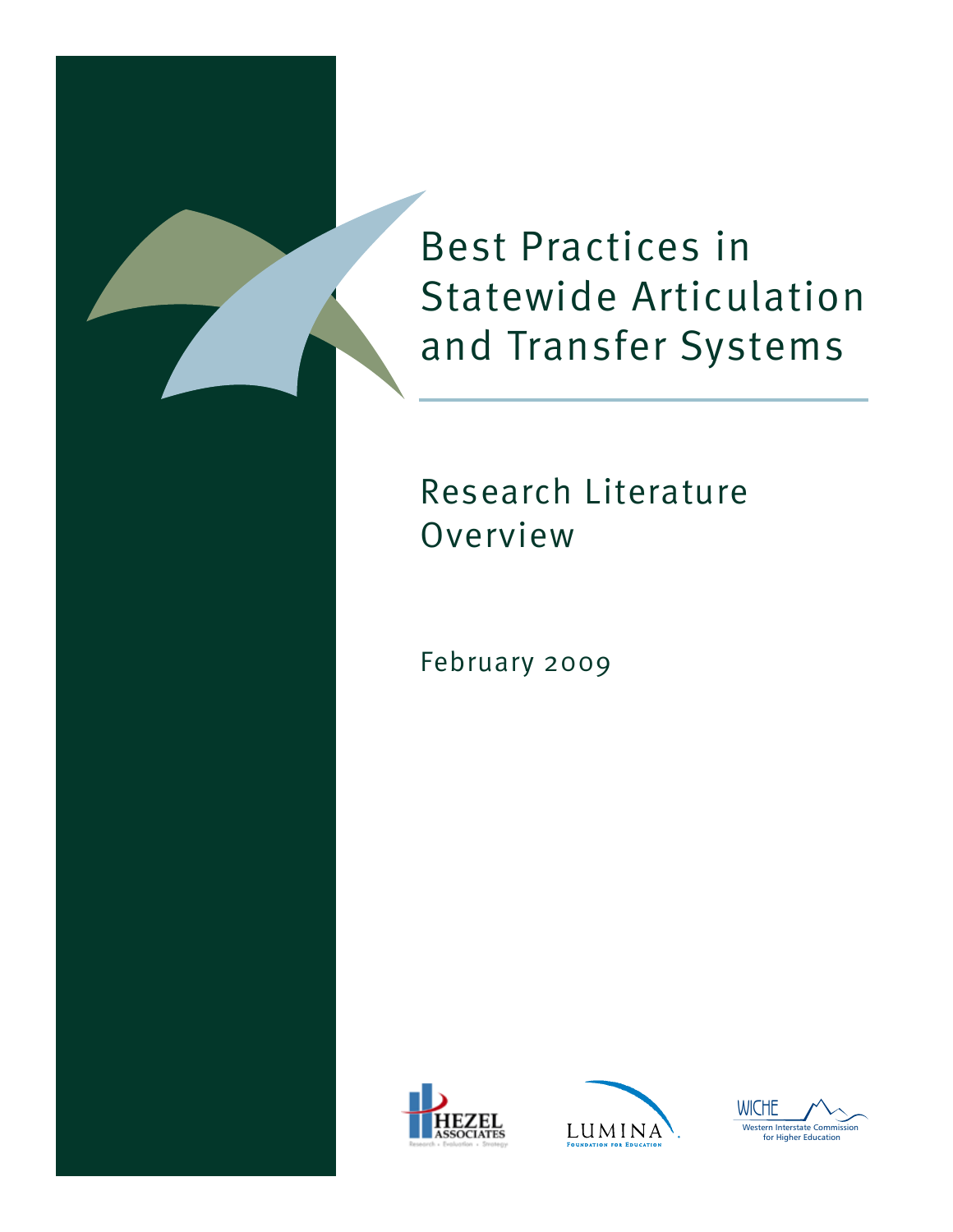

Best Practices in Statewide Articulation and Transfer Systems

# Research Literature Overview

February 2009





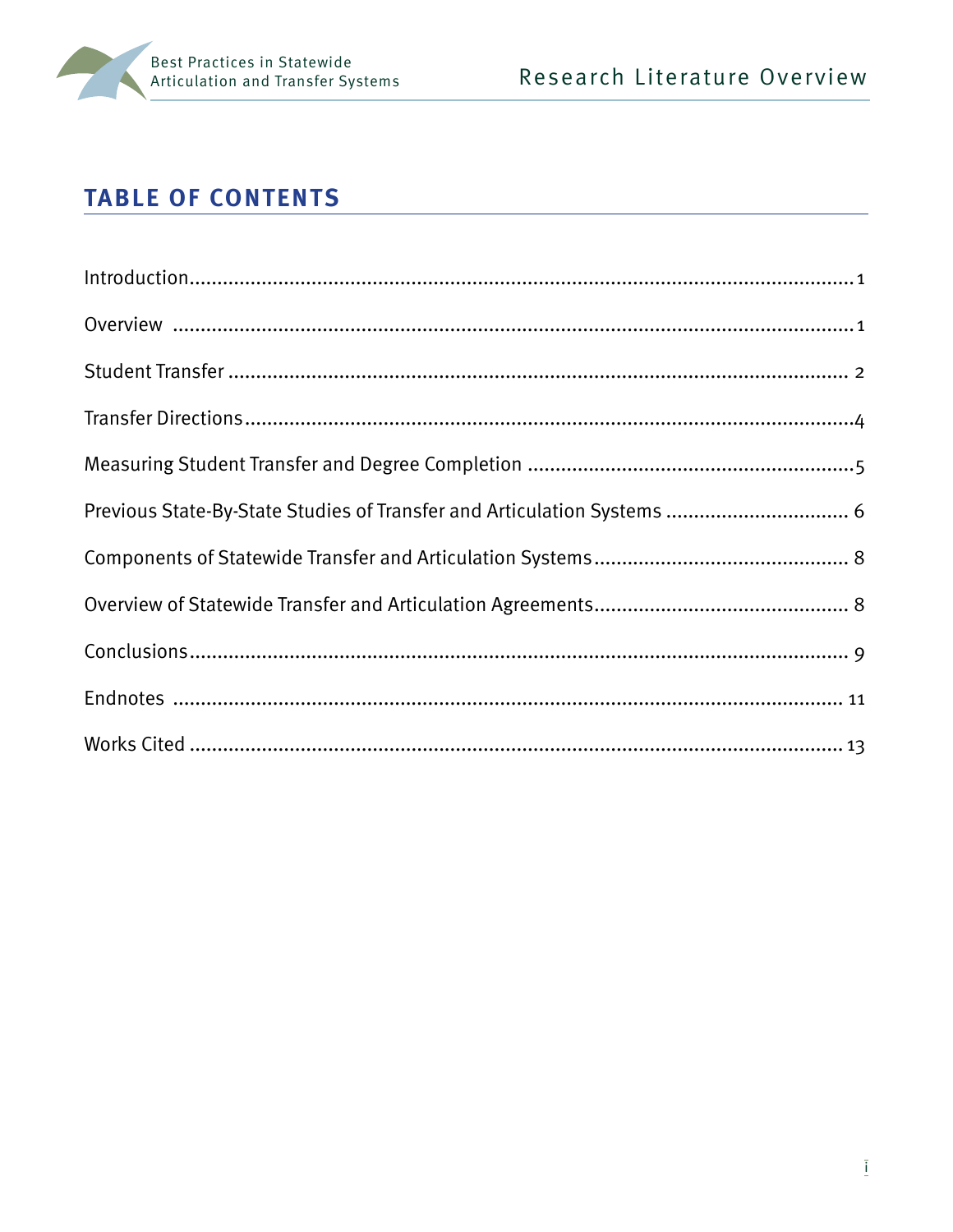

### **TABLE OF CONTENTS**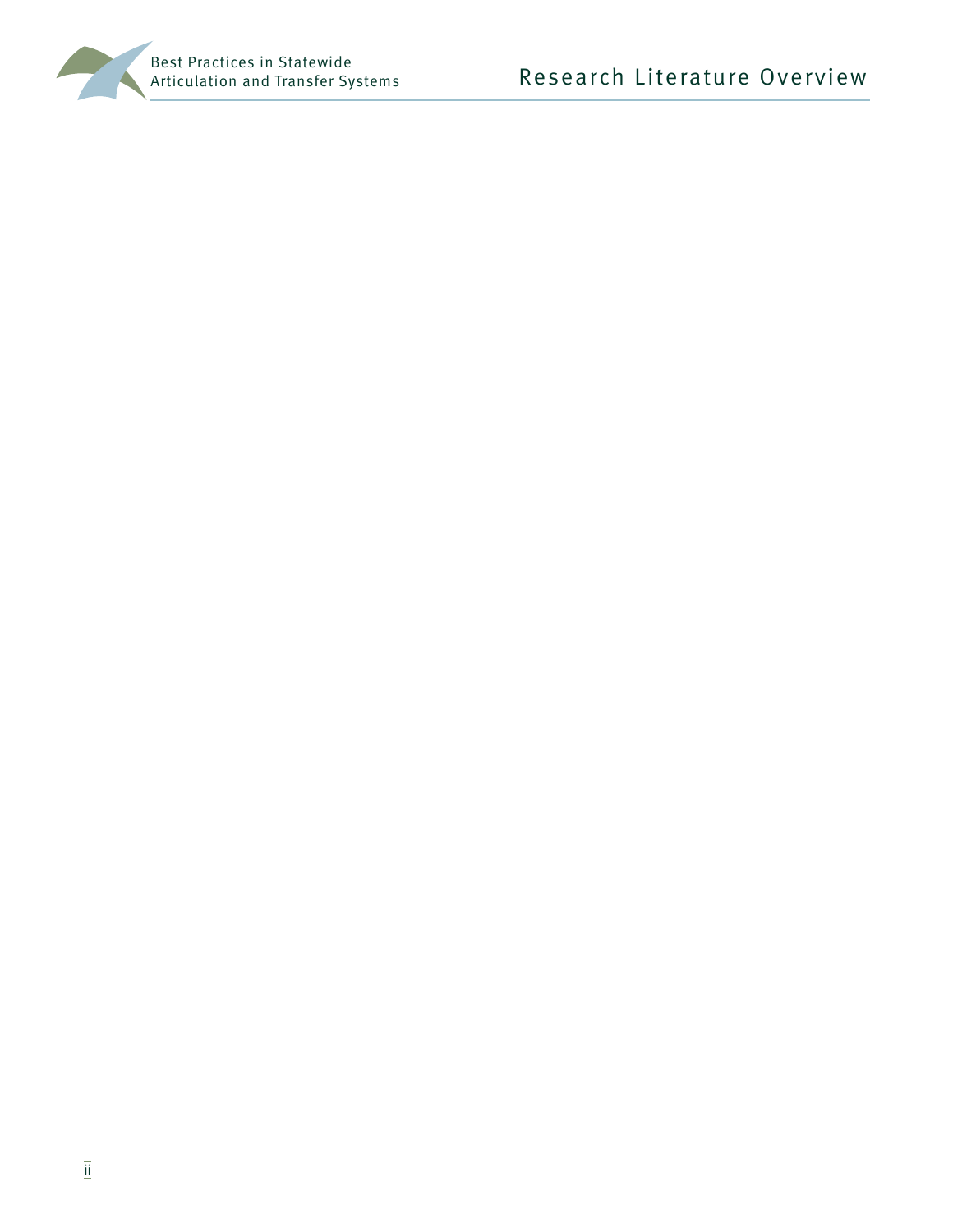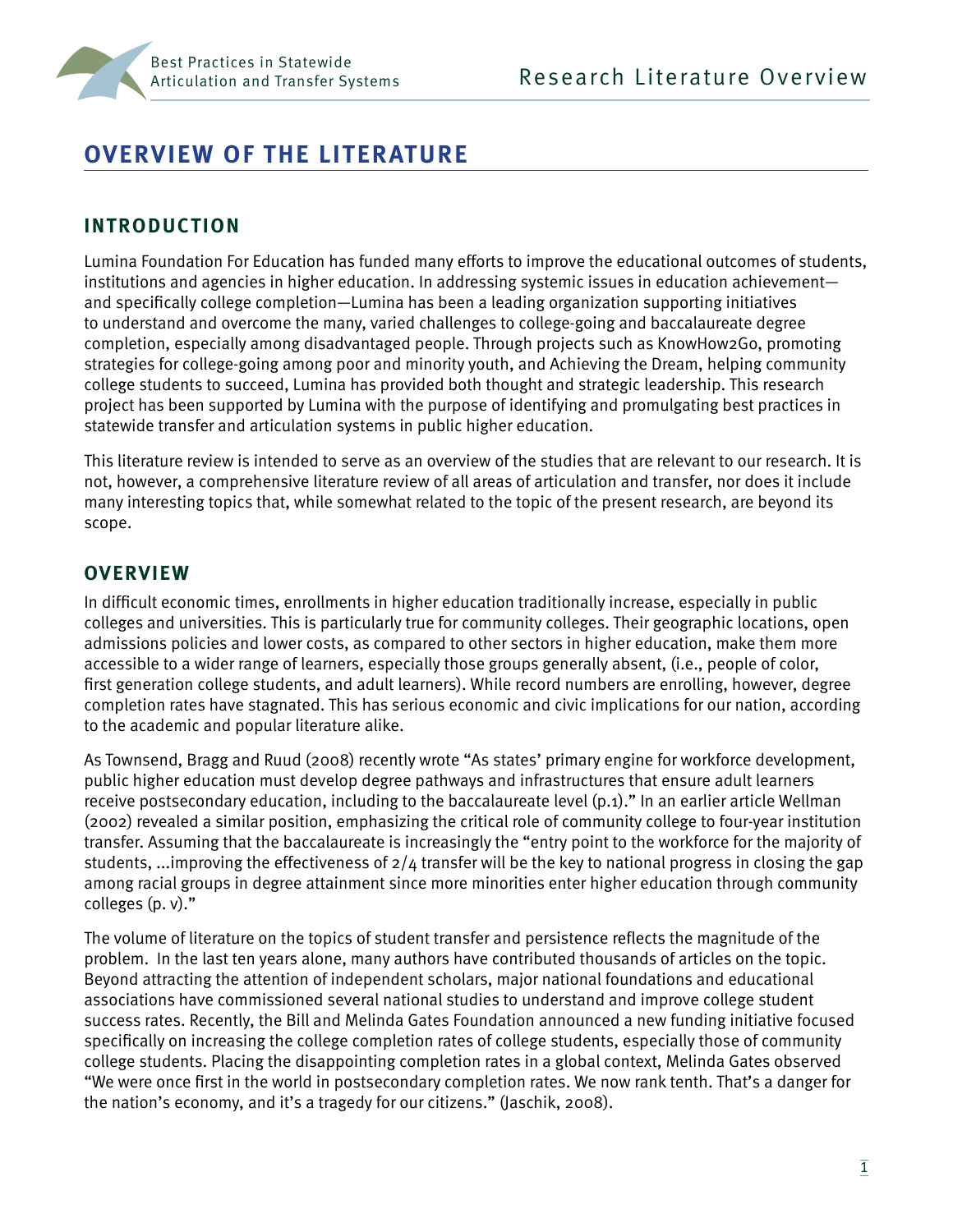

## **Overview of the Literature**

#### **Introduction**

Lumina Foundation For Education has funded many efforts to improve the educational outcomes of students, institutions and agencies in higher education. In addressing systemic issues in education achievement and specifically college completion—Lumina has been a leading organization supporting initiatives to understand and overcome the many, varied challenges to college-going and baccalaureate degree completion, especially among disadvantaged people. Through projects such as KnowHow2Go, promoting strategies for college-going among poor and minority youth, and Achieving the Dream, helping community college students to succeed, Lumina has provided both thought and strategic leadership. This research project has been supported by Lumina with the purpose of identifying and promulgating best practices in statewide transfer and articulation systems in public higher education.

This literature review is intended to serve as an overview of the studies that are relevant to our research. It is not, however, a comprehensive literature review of all areas of articulation and transfer, nor does it include many interesting topics that, while somewhat related to the topic of the present research, are beyond its scope.

#### **Overview**

In difficult economic times, enrollments in higher education traditionally increase, especially in public colleges and universities. This is particularly true for community colleges. Their geographic locations, open admissions policies and lower costs, as compared to other sectors in higher education, make them more accessible to a wider range of learners, especially those groups generally absent, (i.e., people of color, first generation college students, and adult learners). While record numbers are enrolling, however, degree completion rates have stagnated. This has serious economic and civic implications for our nation, according to the academic and popular literature alike.

As Townsend, Bragg and Ruud (2008) recently wrote "As states' primary engine for workforce development, public higher education must develop degree pathways and infrastructures that ensure adult learners receive postsecondary education, including to the baccalaureate level (p.1)." In an earlier article Wellman (2002) revealed a similar position, emphasizing the critical role of community college to four-year institution transfer. Assuming that the baccalaureate is increasingly the "entry point to the workforce for the majority of students, ...improving the effectiveness of  $2/4$  transfer will be the key to national progress in closing the gap among racial groups in degree attainment since more minorities enter higher education through community colleges (p. v)."

The volume of literature on the topics of student transfer and persistence reflects the magnitude of the problem. In the last ten years alone, many authors have contributed thousands of articles on the topic. Beyond attracting the attention of independent scholars, major national foundations and educational associations have commissioned several national studies to understand and improve college student success rates. Recently, the Bill and Melinda Gates Foundation announced a new funding initiative focused specifically on increasing the college completion rates of college students, especially those of community college students. Placing the disappointing completion rates in a global context, Melinda Gates observed "We were once first in the world in postsecondary completion rates. We now rank tenth. That's a danger for the nation's economy, and it's a tragedy for our citizens." (Jaschik, 2008).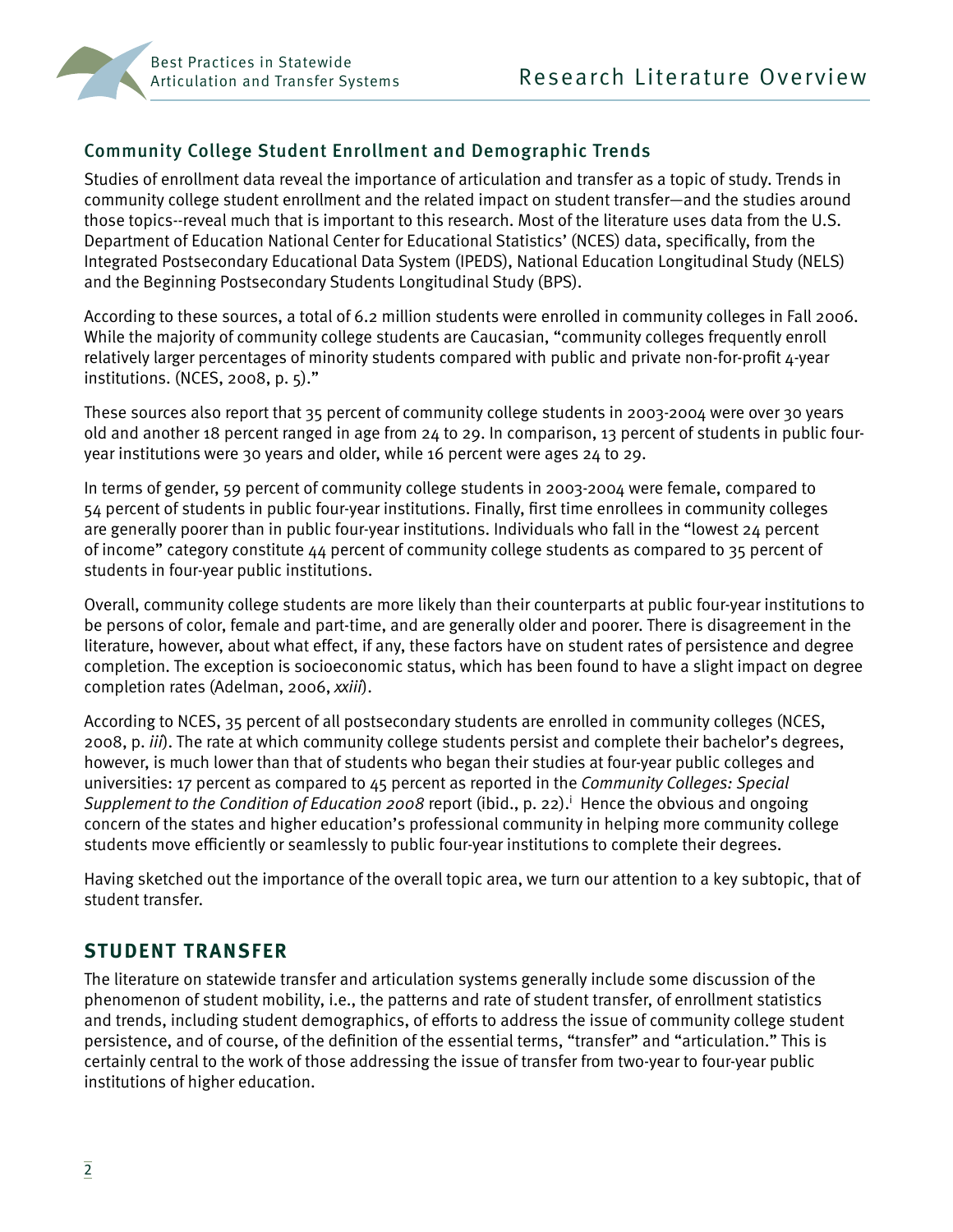#### Community College Student Enrollment and Demographic Trends

Studies of enrollment data reveal the importance of articulation and transfer as a topic of study. Trends in community college student enrollment and the related impact on student transfer—and the studies around those topics--reveal much that is important to this research. Most of the literature uses data from the U.S. Department of Education National Center for Educational Statistics' (NCES) data, specifically, from the Integrated Postsecondary Educational Data System (IPEDS), National Education Longitudinal Study (NELS) and the Beginning Postsecondary Students Longitudinal Study (BPS).

According to these sources, a total of 6.2 million students were enrolled in community colleges in Fall 2006. While the majority of community college students are Caucasian, "community colleges frequently enroll relatively larger percentages of minority students compared with public and private non-for-profit 4-year institutions. (NCES, 2008, p. 5)."

These sources also report that 35 percent of community college students in 2003-2004 were over 30 years old and another 18 percent ranged in age from 24 to 29. In comparison, 13 percent of students in public fouryear institutions were 30 years and older, while 16 percent were ages 24 to 29.

In terms of gender, 59 percent of community college students in 2003-2004 were female, compared to 54 percent of students in public four-year institutions. Finally, first time enrollees in community colleges are generally poorer than in public four-year institutions. Individuals who fall in the "lowest 24 percent of income" category constitute 44 percent of community college students as compared to 35 percent of students in four-year public institutions.

Overall, community college students are more likely than their counterparts at public four-year institutions to be persons of color, female and part-time, and are generally older and poorer. There is disagreement in the literature, however, about what effect, if any, these factors have on student rates of persistence and degree completion. The exception is socioeconomic status, which has been found to have a slight impact on degree completion rates (Adelman, 2006, *xxiii*).

According to NCES, 35 percent of all postsecondary students are enrolled in community colleges (NCES, 2008, p. *iii*). The rate at which community college students persist and complete their bachelor's degrees, however, is much lower than that of students who began their studies at four-year public colleges and universities: 17 percent as compared to 45 percent as reported in the *Community Colleges: Special*  Supplement to the Condition of Education 2008 report (ibid., p. 22).<sup>†</sup> Hence the obvious and ongoing concern of the states and higher education's professional community in helping more community college students move efficiently or seamlessly to public four-year institutions to complete their degrees.

Having sketched out the importance of the overall topic area, we turn our attention to a key subtopic, that of student transfer.

#### **Student Transfer**

The literature on statewide transfer and articulation systems generally include some discussion of the phenomenon of student mobility, i.e., the patterns and rate of student transfer, of enrollment statistics and trends, including student demographics, of efforts to address the issue of community college student persistence, and of course, of the definition of the essential terms, "transfer" and "articulation." This is certainly central to the work of those addressing the issue of transfer from two-year to four-year public institutions of higher education.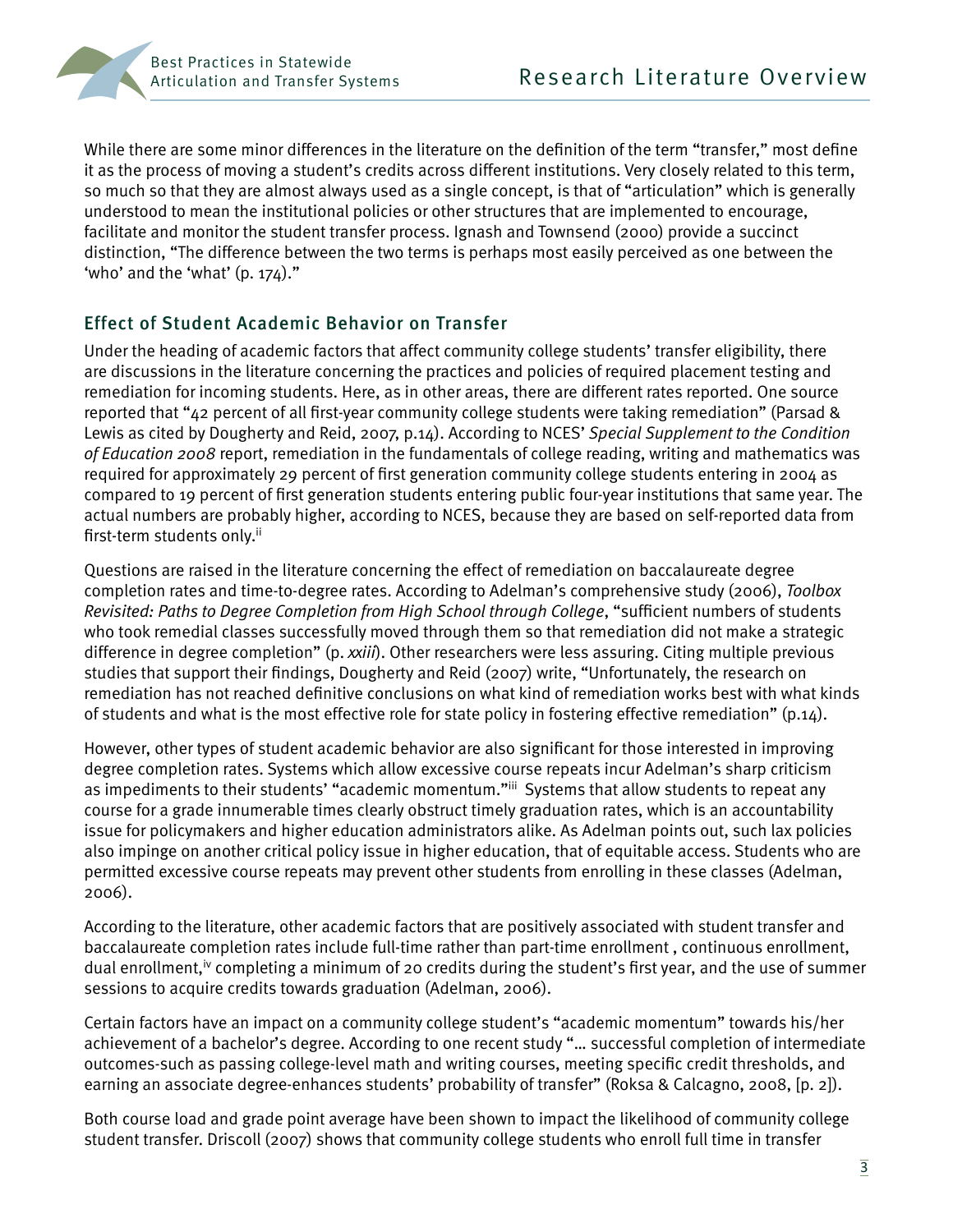While there are some minor differences in the literature on the definition of the term "transfer," most define it as the process of moving a student's credits across different institutions. Very closely related to this term, so much so that they are almost always used as a single concept, is that of "articulation" which is generally understood to mean the institutional policies or other structures that are implemented to encourage, facilitate and monitor the student transfer process. Ignash and Townsend (2000) provide a succinct distinction, "The difference between the two terms is perhaps most easily perceived as one between the 'who' and the 'what' (p. 174)."

#### Effect of Student Academic Behavior on Transfer

Under the heading of academic factors that affect community college students' transfer eligibility, there are discussions in the literature concerning the practices and policies of required placement testing and remediation for incoming students. Here, as in other areas, there are different rates reported. One source reported that "42 percent of all first-year community college students were taking remediation" (Parsad & Lewis as cited by Dougherty and Reid, 2007, p.14). According to NCES' *Special Supplement to the Condition of Education 2008* report, remediation in the fundamentals of college reading, writing and mathematics was required for approximately 29 percent of first generation community college students entering in 2004 as compared to 19 percent of first generation students entering public four-year institutions that same year. The actual numbers are probably higher, according to NCES, because they are based on self-reported data from first-term students only.<sup>ii</sup>

Questions are raised in the literature concerning the effect of remediation on baccalaureate degree completion rates and time-to-degree rates. According to Adelman's comprehensive study (2006), *Toolbox Revisited: Paths to Degree Completion from High School through College*, "sufficient numbers of students who took remedial classes successfully moved through them so that remediation did not make a strategic difference in degree completion" (p. *xxiii*). Other researchers were less assuring. Citing multiple previous studies that support their findings, Dougherty and Reid (2007) write, "Unfortunately, the research on remediation has not reached definitive conclusions on what kind of remediation works best with what kinds of students and what is the most effective role for state policy in fostering effective remediation" (p.14).

However, other types of student academic behavior are also significant for those interested in improving degree completion rates. Systems which allow excessive course repeats incur Adelman's sharp criticism as impediments to their students' "academic momentum."<sup>iii</sup> Systems that allow students to repeat any course for a grade innumerable times clearly obstruct timely graduation rates, which is an accountability issue for policymakers and higher education administrators alike. As Adelman points out, such lax policies also impinge on another critical policy issue in higher education, that of equitable access. Students who are permitted excessive course repeats may prevent other students from enrolling in these classes (Adelman, 2006).

According to the literature, other academic factors that are positively associated with student transfer and baccalaureate completion rates include full-time rather than part-time enrollment , continuous enrollment, dual enrollment,<sup>iv</sup> completing a minimum of 20 credits during the student's first year, and the use of summer sessions to acquire credits towards graduation (Adelman, 2006).

Certain factors have an impact on a community college student's "academic momentum" towards his/her achievement of a bachelor's degree. According to one recent study "… successful completion of intermediate outcomes-such as passing college-level math and writing courses, meeting specific credit thresholds, and earning an associate degree-enhances students' probability of transfer" (Roksa & Calcagno, 2008, [p. 2]).

Both course load and grade point average have been shown to impact the likelihood of community college student transfer. Driscoll (2007) shows that community college students who enroll full time in transfer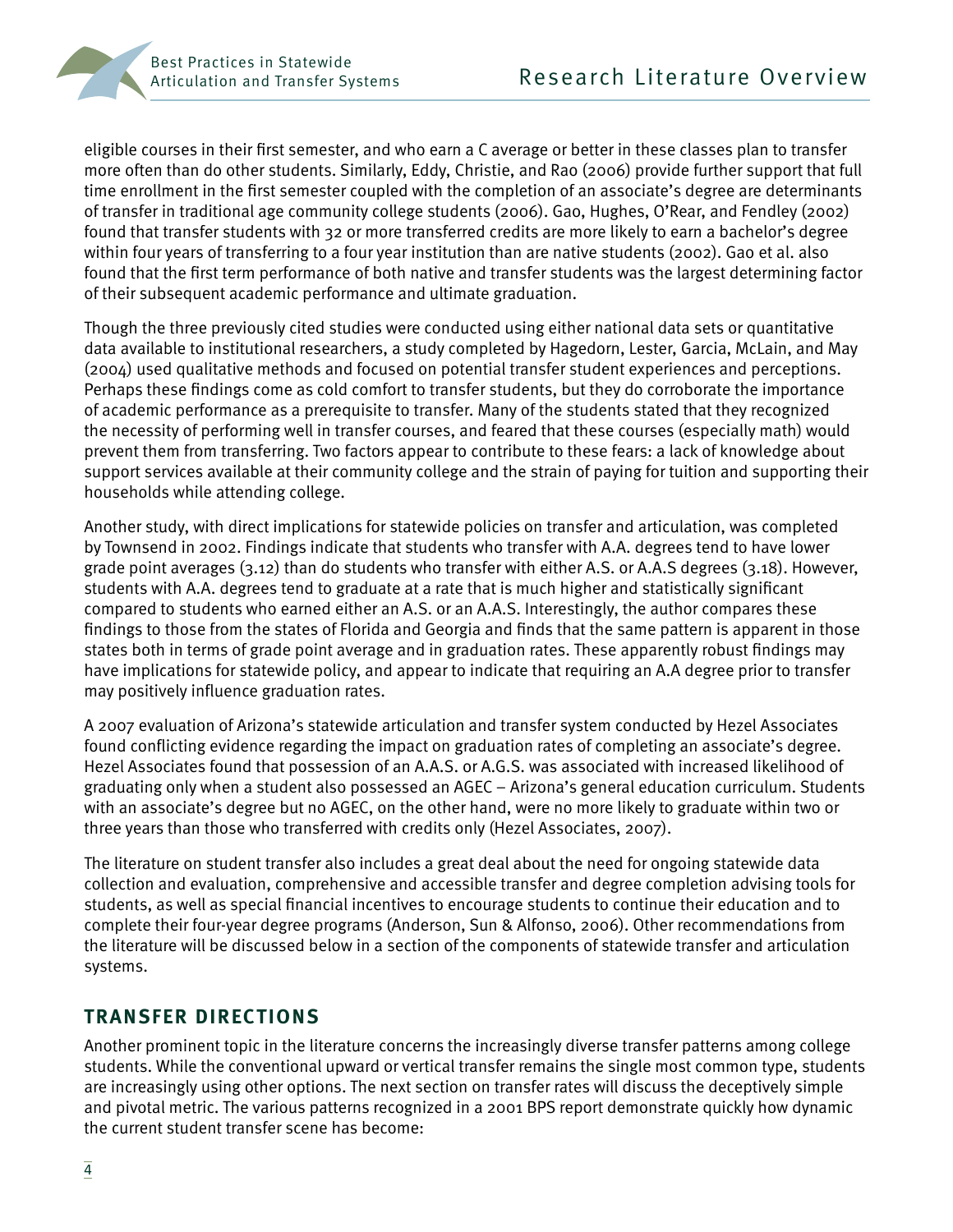

eligible courses in their first semester, and who earn a C average or better in these classes plan to transfer more often than do other students. Similarly, Eddy, Christie, and Rao (2006) provide further support that full time enrollment in the first semester coupled with the completion of an associate's degree are determinants of transfer in traditional age community college students (2006). Gao, Hughes, O'Rear, and Fendley (2002) found that transfer students with 32 or more transferred credits are more likely to earn a bachelor's degree within four years of transferring to a four year institution than are native students (2002). Gao et al. also found that the first term performance of both native and transfer students was the largest determining factor of their subsequent academic performance and ultimate graduation.

Though the three previously cited studies were conducted using either national data sets or quantitative data available to institutional researchers, a study completed by Hagedorn, Lester, Garcia, McLain, and May (2004) used qualitative methods and focused on potential transfer student experiences and perceptions. Perhaps these findings come as cold comfort to transfer students, but they do corroborate the importance of academic performance as a prerequisite to transfer. Many of the students stated that they recognized the necessity of performing well in transfer courses, and feared that these courses (especially math) would prevent them from transferring. Two factors appear to contribute to these fears: a lack of knowledge about support services available at their community college and the strain of paying for tuition and supporting their households while attending college.

Another study, with direct implications for statewide policies on transfer and articulation, was completed by Townsend in 2002. Findings indicate that students who transfer with A.A. degrees tend to have lower grade point averages (3.12) than do students who transfer with either A.S. or A.A.S degrees (3.18). However, students with A.A. degrees tend to graduate at a rate that is much higher and statistically significant compared to students who earned either an A.S. or an A.A.S. Interestingly, the author compares these findings to those from the states of Florida and Georgia and finds that the same pattern is apparent in those states both in terms of grade point average and in graduation rates. These apparently robust findings may have implications for statewide policy, and appear to indicate that requiring an A.A degree prior to transfer may positively influence graduation rates.

A 2007 evaluation of Arizona's statewide articulation and transfer system conducted by Hezel Associates found conflicting evidence regarding the impact on graduation rates of completing an associate's degree. Hezel Associates found that possession of an A.A.S. or A.G.S. was associated with increased likelihood of graduating only when a student also possessed an AGEC – Arizona's general education curriculum. Students with an associate's degree but no AGEC, on the other hand, were no more likely to graduate within two or three years than those who transferred with credits only (Hezel Associates, 2007).

The literature on student transfer also includes a great deal about the need for ongoing statewide data collection and evaluation, comprehensive and accessible transfer and degree completion advising tools for students, as well as special financial incentives to encourage students to continue their education and to complete their four-year degree programs (Anderson, Sun & Alfonso, 2006). Other recommendations from the literature will be discussed below in a section of the components of statewide transfer and articulation systems.

#### **Transfer Directions**

Another prominent topic in the literature concerns the increasingly diverse transfer patterns among college students. While the conventional upward or vertical transfer remains the single most common type, students are increasingly using other options. The next section on transfer rates will discuss the deceptively simple and pivotal metric. The various patterns recognized in a 2001 BPS report demonstrate quickly how dynamic the current student transfer scene has become: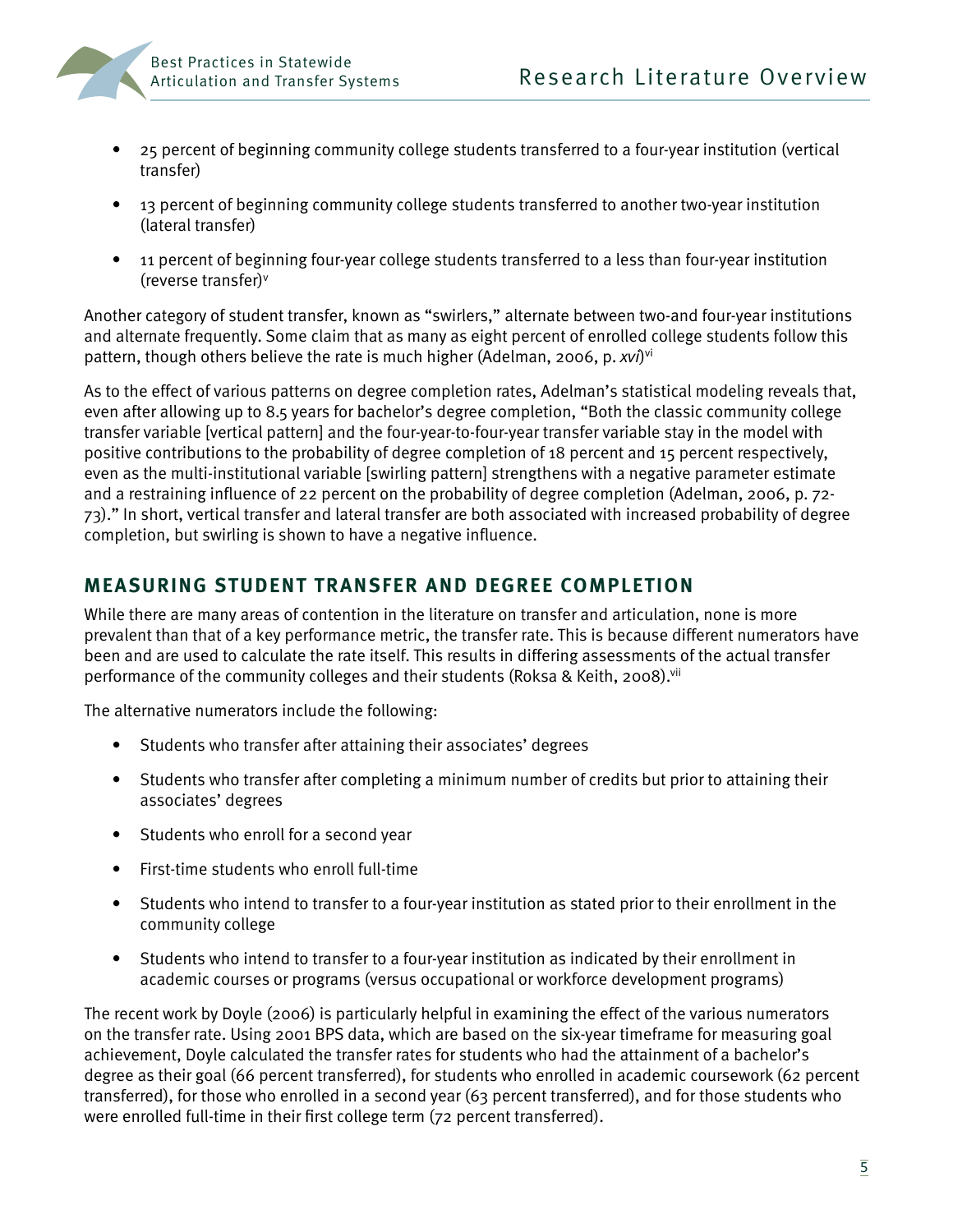

- 25 percent of beginning community college students transferred to a four-year institution (vertical transfer)
- 13 percent of beginning community college students transferred to another two-year institution (lateral transfer)
- 11 percent of beginning four-year college students transferred to a less than four-year institution (reverse transfer)v

Another category of student transfer, known as "swirlers," alternate between two-and four-year institutions and alternate frequently. Some claim that as many as eight percent of enrolled college students follow this pattern, though others believe the rate is much higher (Adelman, 2006, p. *xvi*)<sup>vi</sup>

As to the effect of various patterns on degree completion rates, Adelman's statistical modeling reveals that, even after allowing up to 8.5 years for bachelor's degree completion, "Both the classic community college transfer variable [vertical pattern] and the four-year-to-four-year transfer variable stay in the model with positive contributions to the probability of degree completion of 18 percent and 15 percent respectively, even as the multi-institutional variable [swirling pattern] strengthens with a negative parameter estimate and a restraining influence of 22 percent on the probability of degree completion (Adelman, 2006, p. 72- 73)." In short, vertical transfer and lateral transfer are both associated with increased probability of degree completion, but swirling is shown to have a negative influence.

#### **Measuring Student Transfer and Degree Completion**

While there are many areas of contention in the literature on transfer and articulation, none is more prevalent than that of a key performance metric, the transfer rate. This is because different numerators have been and are used to calculate the rate itself. This results in differing assessments of the actual transfer performance of the community colleges and their students (Roksa & Keith, 2008).<sup>vii</sup>

The alternative numerators include the following:

- Students who transfer after attaining their associates' degrees
- Students who transfer after completing a minimum number of credits but prior to attaining their associates' degrees
- Students who enroll for a second year
- First-time students who enroll full-time
- Students who intend to transfer to a four-year institution as stated prior to their enrollment in the community college
- Students who intend to transfer to a four-year institution as indicated by their enrollment in academic courses or programs (versus occupational or workforce development programs)

The recent work by Doyle (2006) is particularly helpful in examining the effect of the various numerators on the transfer rate. Using 2001 BPS data, which are based on the six-year timeframe for measuring goal achievement, Doyle calculated the transfer rates for students who had the attainment of a bachelor's degree as their goal (66 percent transferred), for students who enrolled in academic coursework (62 percent transferred), for those who enrolled in a second year (63 percent transferred), and for those students who were enrolled full-time in their first college term (72 percent transferred).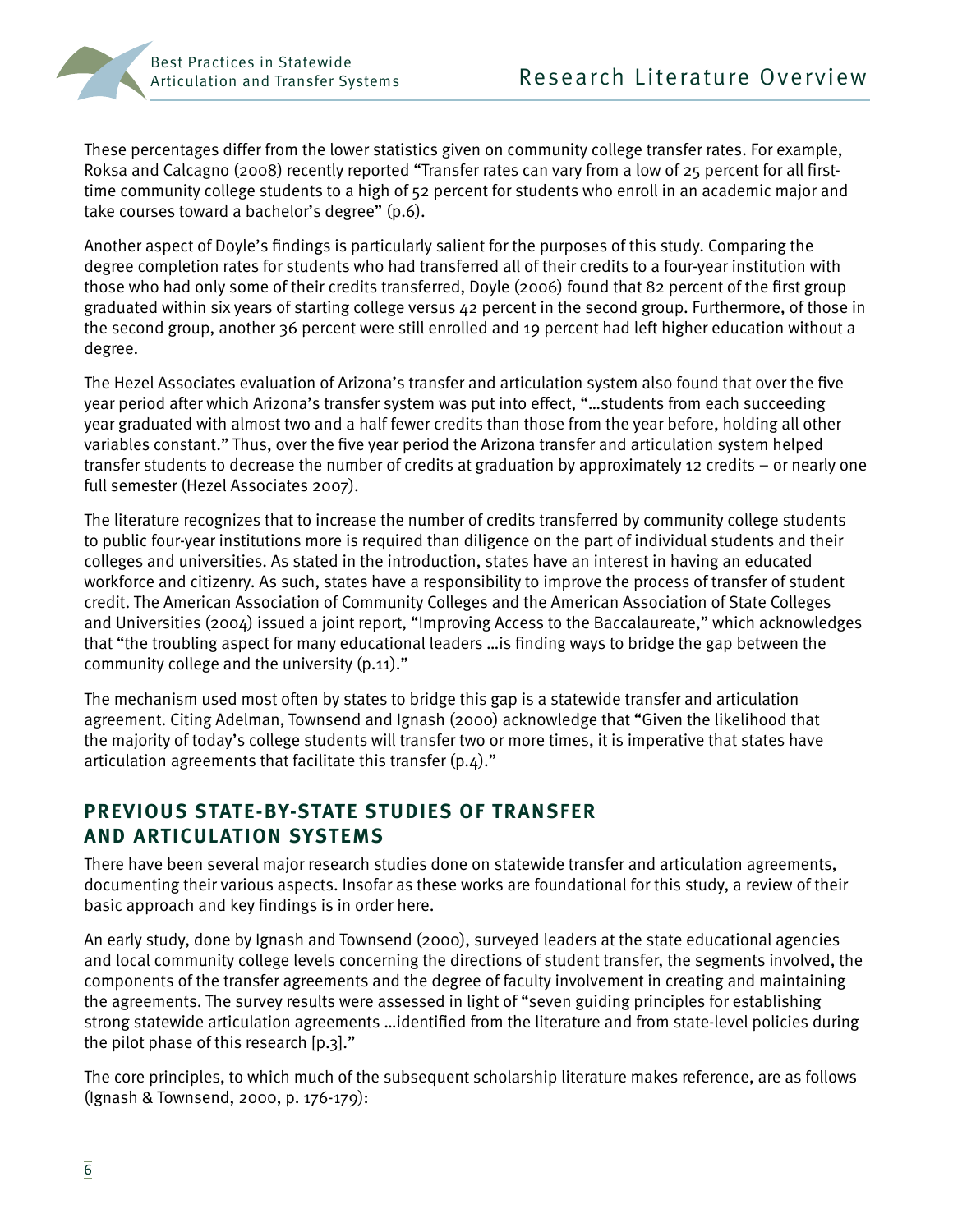

These percentages differ from the lower statistics given on community college transfer rates. For example, Roksa and Calcagno (2008) recently reported "Transfer rates can vary from a low of 25 percent for all firsttime community college students to a high of 52 percent for students who enroll in an academic major and take courses toward a bachelor's degree" (p.6).

Another aspect of Doyle's findings is particularly salient for the purposes of this study. Comparing the degree completion rates for students who had transferred all of their credits to a four-year institution with those who had only some of their credits transferred, Doyle (2006) found that 82 percent of the first group graduated within six years of starting college versus 42 percent in the second group. Furthermore, of those in the second group, another 36 percent were still enrolled and 19 percent had left higher education without a degree.

The Hezel Associates evaluation of Arizona's transfer and articulation system also found that over the five year period after which Arizona's transfer system was put into effect, "…students from each succeeding year graduated with almost two and a half fewer credits than those from the year before, holding all other variables constant." Thus, over the five year period the Arizona transfer and articulation system helped transfer students to decrease the number of credits at graduation by approximately 12 credits – or nearly one full semester (Hezel Associates 2007).

The literature recognizes that to increase the number of credits transferred by community college students to public four-year institutions more is required than diligence on the part of individual students and their colleges and universities. As stated in the introduction, states have an interest in having an educated workforce and citizenry. As such, states have a responsibility to improve the process of transfer of student credit. The American Association of Community Colleges and the American Association of State Colleges and Universities (2004) issued a joint report, "Improving Access to the Baccalaureate," which acknowledges that "the troubling aspect for many educational leaders …is finding ways to bridge the gap between the community college and the university (p.11)."

The mechanism used most often by states to bridge this gap is a statewide transfer and articulation agreement. Citing Adelman, Townsend and Ignash (2000) acknowledge that "Given the likelihood that the majority of today's college students will transfer two or more times, it is imperative that states have articulation agreements that facilitate this transfer (p.4)."

#### **Previous State-By-State Studies of Transfer and Articulation Systems**

There have been several major research studies done on statewide transfer and articulation agreements, documenting their various aspects. Insofar as these works are foundational for this study, a review of their basic approach and key findings is in order here.

An early study, done by Ignash and Townsend (2000), surveyed leaders at the state educational agencies and local community college levels concerning the directions of student transfer, the segments involved, the components of the transfer agreements and the degree of faculty involvement in creating and maintaining the agreements. The survey results were assessed in light of "seven guiding principles for establishing strong statewide articulation agreements …identified from the literature and from state-level policies during the pilot phase of this research [p.3]."

The core principles, to which much of the subsequent scholarship literature makes reference, are as follows (Ignash & Townsend, 2000, p. 176-179):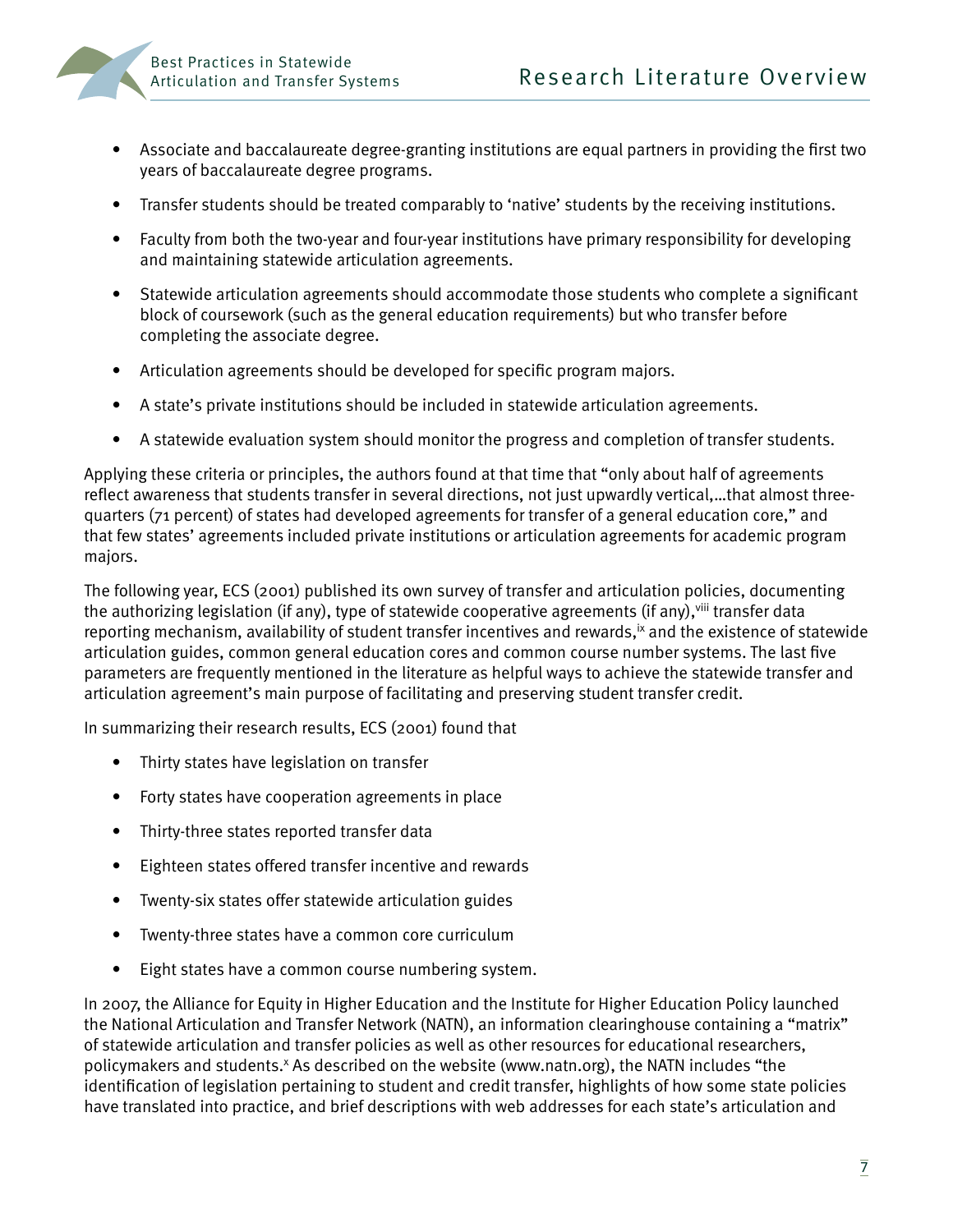

- Associate and baccalaureate degree-granting institutions are equal partners in providing the first two years of baccalaureate degree programs.
- Transfer students should be treated comparably to 'native' students by the receiving institutions.
- Faculty from both the two-year and four-year institutions have primary responsibility for developing and maintaining statewide articulation agreements.
- Statewide articulation agreements should accommodate those students who complete a significant block of coursework (such as the general education requirements) but who transfer before completing the associate degree.
- Articulation agreements should be developed for specific program majors.
- A state's private institutions should be included in statewide articulation agreements.
- A statewide evaluation system should monitor the progress and completion of transfer students.

Applying these criteria or principles, the authors found at that time that "only about half of agreements reflect awareness that students transfer in several directions, not just upwardly vertical,…that almost threequarters (71 percent) of states had developed agreements for transfer of a general education core," and that few states' agreements included private institutions or articulation agreements for academic program majors.

The following year, ECS (2001) published its own survey of transfer and articulation policies, documenting the authorizing legislation (if any), type of statewide cooperative agreements (if any), ill transfer data reporting mechanism, availability of student transfer incentives and rewards,<sup>ix</sup> and the existence of statewide articulation guides, common general education cores and common course number systems. The last five parameters are frequently mentioned in the literature as helpful ways to achieve the statewide transfer and articulation agreement's main purpose of facilitating and preserving student transfer credit.

In summarizing their research results, ECS (2001) found that

- Thirty states have legislation on transfer
- Forty states have cooperation agreements in place
- Thirty-three states reported transfer data
- Eighteen states offered transfer incentive and rewards
- Twenty-six states offer statewide articulation guides
- Twenty-three states have a common core curriculum
- Eight states have a common course numbering system.

In 2007, the Alliance for Equity in Higher Education and the Institute for Higher Education Policy launched the National Articulation and Transfer Network (NATN), an information clearinghouse containing a "matrix" of statewide articulation and transfer policies as well as other resources for educational researchers, policymakers and students.<sup>x</sup> As described on the website (www.natn.org), the NATN includes "the identification of legislation pertaining to student and credit transfer, highlights of how some state policies have translated into practice, and brief descriptions with web addresses for each state's articulation and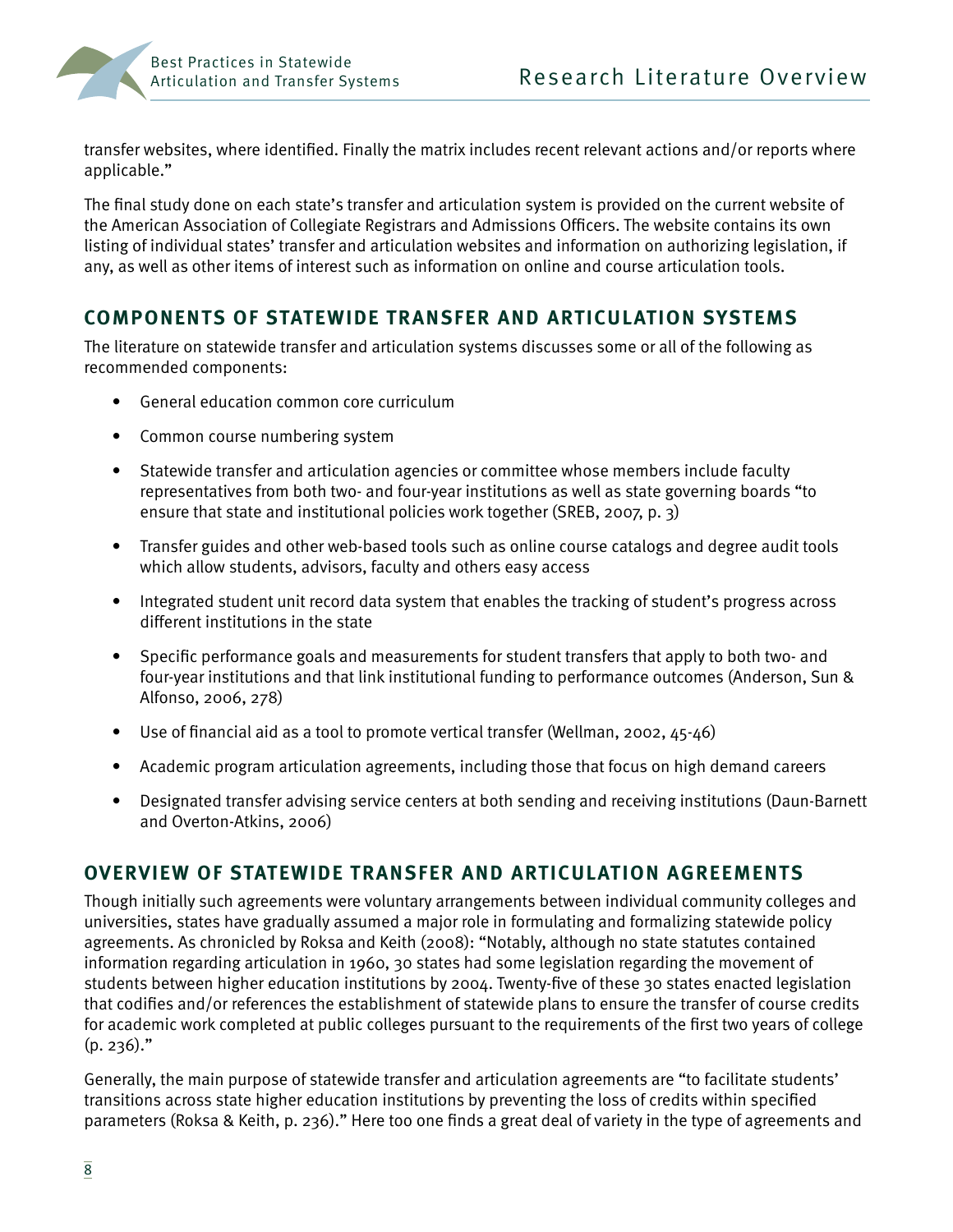

transfer websites, where identified. Finally the matrix includes recent relevant actions and/or reports where applicable."

The final study done on each state's transfer and articulation system is provided on the current website of the American Association of Collegiate Registrars and Admissions Officers. The website contains its own listing of individual states' transfer and articulation websites and information on authorizing legislation, if any, as well as other items of interest such as information on online and course articulation tools.

#### **Components of Statewide Transfer and Articulation Systems**

The literature on statewide transfer and articulation systems discusses some or all of the following as recommended components:

- General education common core curriculum
- Common course numbering system
- Statewide transfer and articulation agencies or committee whose members include faculty representatives from both two- and four-year institutions as well as state governing boards "to ensure that state and institutional policies work together (SREB, 2007, p. 3)
- Transfer guides and other web-based tools such as online course catalogs and degree audit tools which allow students, advisors, faculty and others easy access
- Integrated student unit record data system that enables the tracking of student's progress across different institutions in the state
- Specific performance goals and measurements for student transfers that apply to both two- and four-year institutions and that link institutional funding to performance outcomes (Anderson, Sun & Alfonso, 2006, 278)
- Use of financial aid as a tool to promote vertical transfer (Wellman, 2002, 45-46)
- Academic program articulation agreements, including those that focus on high demand careers
- Designated transfer advising service centers at both sending and receiving institutions (Daun-Barnett and Overton-Atkins, 2006)

#### **Overview of Statewide Transfer and Articulation Agreements**

Though initially such agreements were voluntary arrangements between individual community colleges and universities, states have gradually assumed a major role in formulating and formalizing statewide policy agreements. As chronicled by Roksa and Keith (2008): "Notably, although no state statutes contained information regarding articulation in 1960, 30 states had some legislation regarding the movement of students between higher education institutions by 2004. Twenty-five of these 30 states enacted legislation that codifies and/or references the establishment of statewide plans to ensure the transfer of course credits for academic work completed at public colleges pursuant to the requirements of the first two years of college  $(p. 236)."$ 

Generally, the main purpose of statewide transfer and articulation agreements are "to facilitate students' transitions across state higher education institutions by preventing the loss of credits within specified parameters (Roksa & Keith, p. 236)." Here too one finds a great deal of variety in the type of agreements and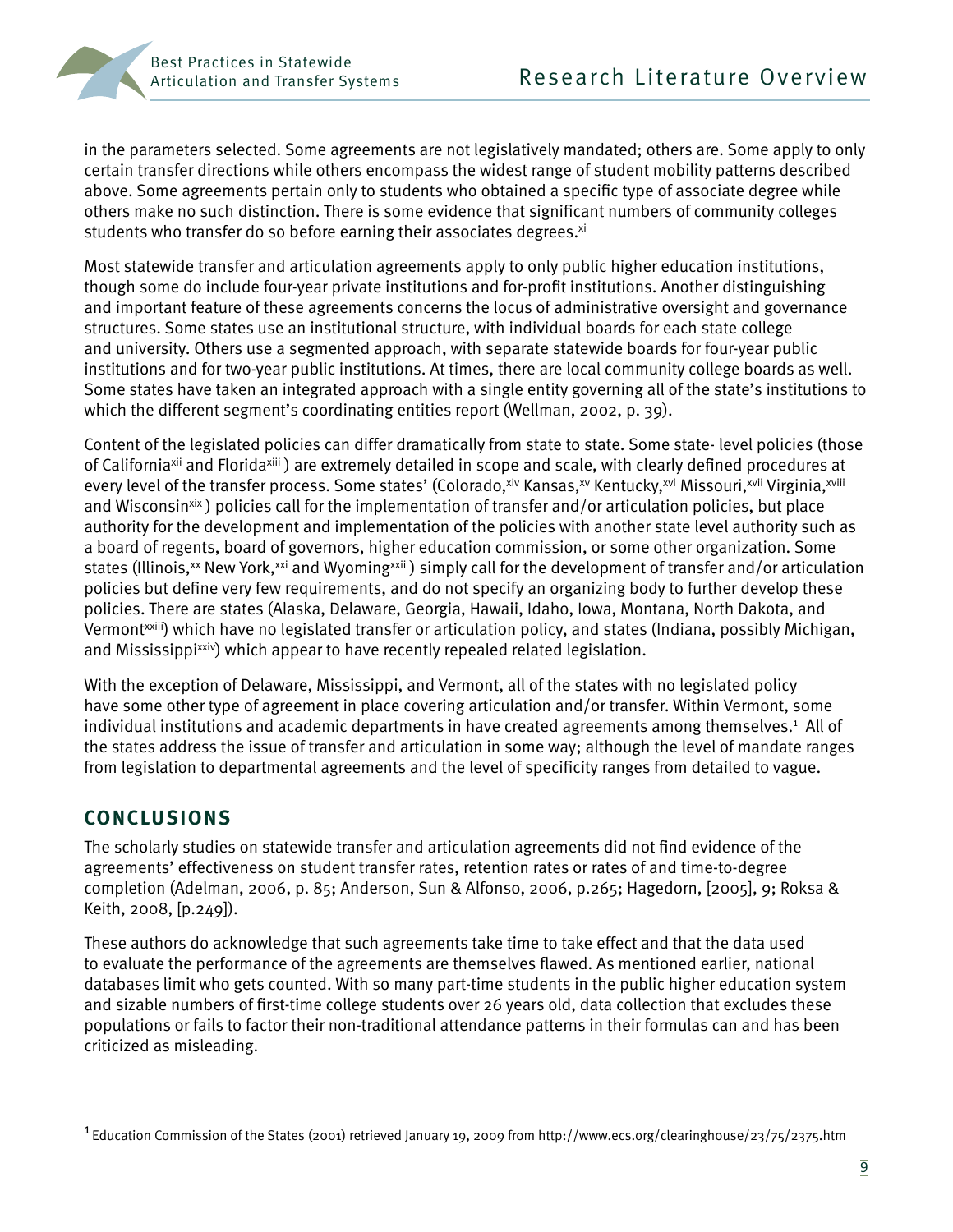

in the parameters selected. Some agreements are not legislatively mandated; others are. Some apply to only certain transfer directions while others encompass the widest range of student mobility patterns described above. Some agreements pertain only to students who obtained a specific type of associate degree while others make no such distinction. There is some evidence that significant numbers of community colleges students who transfer do so before earning their associates degrees.<sup>xi</sup>

Most statewide transfer and articulation agreements apply to only public higher education institutions, though some do include four-year private institutions and for-profit institutions. Another distinguishing and important feature of these agreements concerns the locus of administrative oversight and governance structures. Some states use an institutional structure, with individual boards for each state college and university. Others use a segmented approach, with separate statewide boards for four-year public institutions and for two-year public institutions. At times, there are local community college boards as well. Some states have taken an integrated approach with a single entity governing all of the state's institutions to which the different segment's coordinating entities report (Wellman, 2002, p. 39).

Content of the legislated policies can differ dramatically from state to state. Some state- level policies (those of California<sup>xii</sup> and Florida<sup>xiii</sup>) are extremely detailed in scope and scale, with clearly defined procedures at every level of the transfer process. Some states' (Colorado, xiv Kansas, xv Kentucky, xvi Missouri, xvii Virginia, xviii and Wisconsin<sup>xix</sup>) policies call for the implementation of transfer and/or articulation policies, but place authority for the development and implementation of the policies with another state level authority such as a board of regents, board of governors, higher education commission, or some other organization. Some states (Illinois, $x^x$  New York, $x^x$  and Wyoming $x^{x^i}$ ) simply call for the development of transfer and/or articulation policies but define very few requirements, and do not specify an organizing body to further develop these policies. There are states (Alaska, Delaware, Georgia, Hawaii, Idaho, Iowa, Montana, North Dakota, and Vermontxxiii) which have no legislated transfer or articulation policy, and states (Indiana, possibly Michigan, and Mississippixxiv) which appear to have recently repealed related legislation.

With the exception of Delaware, Mississippi, and Vermont, all of the states with no legislated policy have some other type of agreement in place covering articulation and/or transfer. Within Vermont, some individual institutions and academic departments in have created agreements among themselves.<sup>1</sup> All of the states address the issue of transfer and articulation in some way; although the level of mandate ranges from legislation to departmental agreements and the level of specificity ranges from detailed to vague.

### **Conclusions**

The scholarly studies on statewide transfer and articulation agreements did not find evidence of the agreements' effectiveness on student transfer rates, retention rates or rates of and time-to-degree completion (Adelman, 2006, p. 85; Anderson, Sun & Alfonso, 2006, p.265; Hagedorn, [2005], 9; Roksa & Keith, 2008, [p.249]).

These authors do acknowledge that such agreements take time to take effect and that the data used to evaluate the performance of the agreements are themselves flawed. As mentioned earlier, national databases limit who gets counted. With so many part-time students in the public higher education system and sizable numbers of first-time college students over 26 years old, data collection that excludes these populations or fails to factor their non-traditional attendance patterns in their formulas can and has been criticized as misleading.

<sup>1</sup> Education Commission of the States (2001) retrieved January 19, 2009 from http://www.ecs.org/clearinghouse/23/75/2375.htm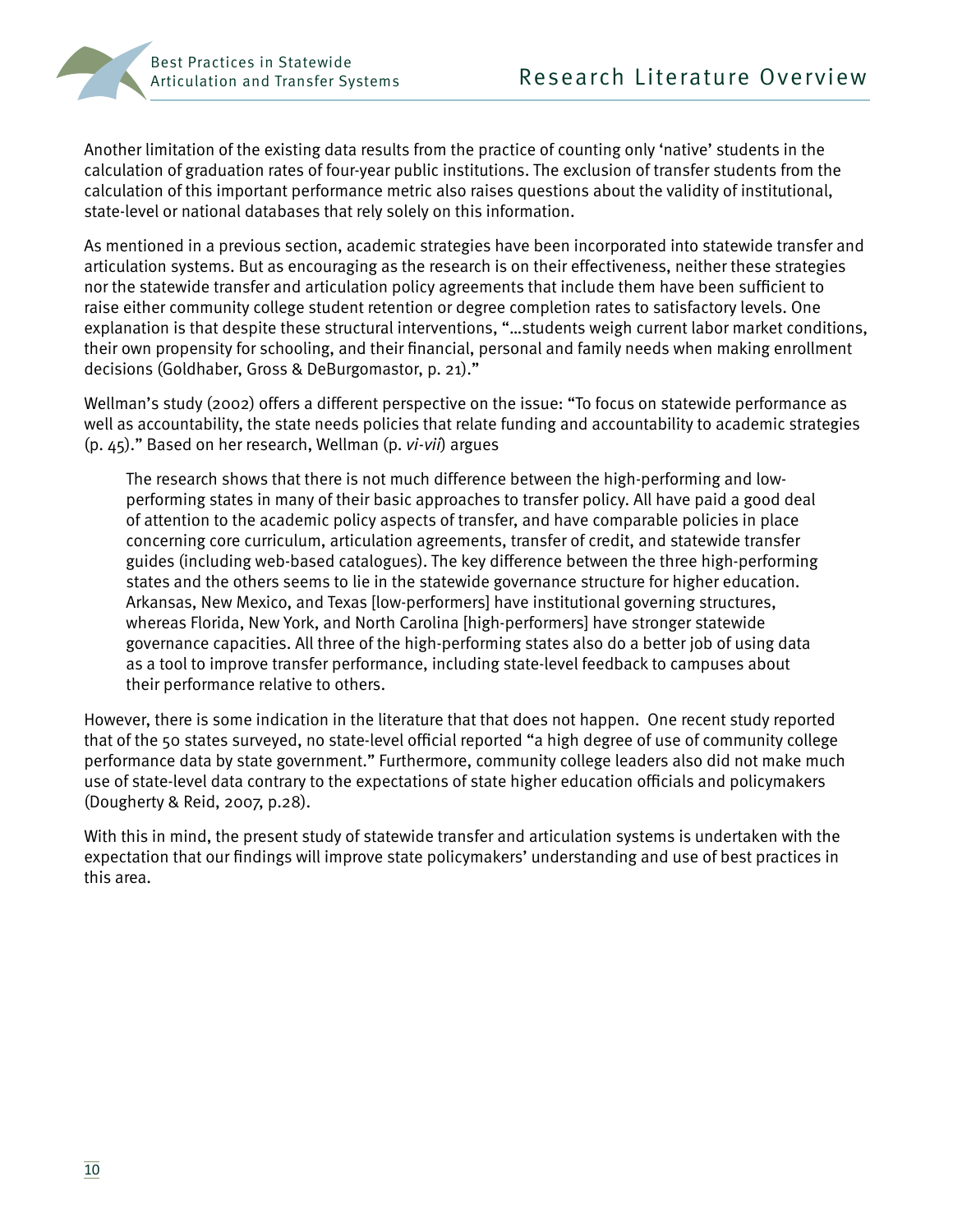

Another limitation of the existing data results from the practice of counting only 'native' students in the calculation of graduation rates of four-year public institutions. The exclusion of transfer students from the calculation of this important performance metric also raises questions about the validity of institutional, state-level or national databases that rely solely on this information.

As mentioned in a previous section, academic strategies have been incorporated into statewide transfer and articulation systems. But as encouraging as the research is on their effectiveness, neither these strategies nor the statewide transfer and articulation policy agreements that include them have been sufficient to raise either community college student retention or degree completion rates to satisfactory levels. One explanation is that despite these structural interventions, "…students weigh current labor market conditions, their own propensity for schooling, and their financial, personal and family needs when making enrollment decisions (Goldhaber, Gross & DeBurgomastor, p. 21)."

Wellman's study (2002) offers a different perspective on the issue: "To focus on statewide performance as well as accountability, the state needs policies that relate funding and accountability to academic strategies (p. 45)." Based on her research, Wellman (p. *vi-vii*) argues

The research shows that there is not much difference between the high-performing and lowperforming states in many of their basic approaches to transfer policy. All have paid a good deal of attention to the academic policy aspects of transfer, and have comparable policies in place concerning core curriculum, articulation agreements, transfer of credit, and statewide transfer guides (including web-based catalogues). The key difference between the three high-performing states and the others seems to lie in the statewide governance structure for higher education. Arkansas, New Mexico, and Texas [low-performers] have institutional governing structures, whereas Florida, New York, and North Carolina [high-performers] have stronger statewide governance capacities. All three of the high-performing states also do a better job of using data as a tool to improve transfer performance, including state-level feedback to campuses about their performance relative to others.

However, there is some indication in the literature that that does not happen. One recent study reported that of the 50 states surveyed, no state-level official reported "a high degree of use of community college performance data by state government." Furthermore, community college leaders also did not make much use of state-level data contrary to the expectations of state higher education officials and policymakers (Dougherty & Reid, 2007, p.28).

With this in mind, the present study of statewide transfer and articulation systems is undertaken with the expectation that our findings will improve state policymakers' understanding and use of best practices in this area.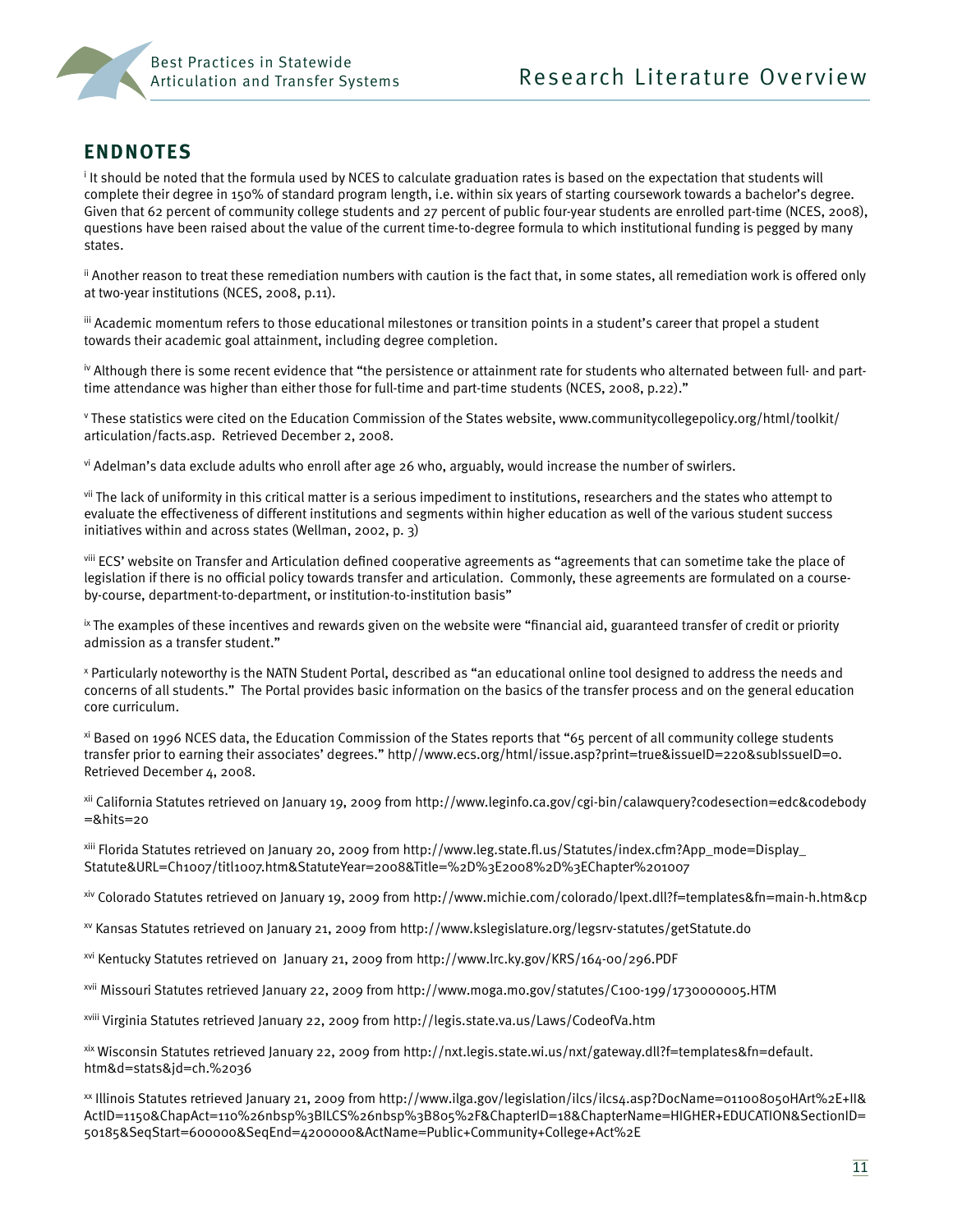

#### **Endnotes**

i It should be noted that the formula used by NCES to calculate graduation rates is based on the expectation that students will complete their degree in 150% of standard program length, i.e. within six years of starting coursework towards a bachelor's degree. Given that 62 percent of community college students and 27 percent of public four-year students are enrolled part-time (NCES, 2008), questions have been raised about the value of the current time-to-degree formula to which institutional funding is pegged by many states.

ii Another reason to treat these remediation numbers with caution is the fact that, in some states, all remediation work is offered only at two-year institutions (NCES, 2008, p.11).

iii Academic momentum refers to those educational milestones or transition points in a student's career that propel a student towards their academic goal attainment, including degree completion.

iv Although there is some recent evidence that "the persistence or attainment rate for students who alternated between full- and parttime attendance was higher than either those for full-time and part-time students (NCES, 2008, p.22)."

v These statistics were cited on the Education Commission of the States website, www.communitycollegepolicy.org/html/toolkit/ articulation/facts.asp. Retrieved December 2, 2008.

vi Adelman's data exclude adults who enroll after age 26 who, arguably, would increase the number of swirlers.

vii The lack of uniformity in this critical matter is a serious impediment to institutions, researchers and the states who attempt to evaluate the effectiveness of different institutions and segments within higher education as well of the various student success initiatives within and across states (Wellman, 2002, p. 3)

viii ECS' website on Transfer and Articulation defined cooperative agreements as "agreements that can sometime take the place of legislation if there is no official policy towards transfer and articulation. Commonly, these agreements are formulated on a courseby-course, department-to-department, or institution-to-institution basis"

<sup>ix</sup> The examples of these incentives and rewards given on the website were "financial aid, guaranteed transfer of credit or priority admission as a transfer student."

x Particularly noteworthy is the NATN Student Portal, described as "an educational online tool designed to address the needs and concerns of all students." The Portal provides basic information on the basics of the transfer process and on the general education core curriculum.

xi Based on 1996 NCES data, the Education Commission of the States reports that "65 percent of all community college students transfer prior to earning their associates' degrees." http//www.ecs.org/html/issue.asp?print=true&issueID=220&subIssueID=0. Retrieved December 4, 2008.

xii California Statutes retrieved on January 19, 2009 from http://www.leginfo.ca.gov/cgi-bin/calawquery?codesection=edc&codebody  $=$  $8$ hits $=$  $20$ 

xiii Florida Statutes retrieved on January 20, 2009 from http://www.leg.state.fl.us/Statutes/index.cfm?App\_mode=Display\_ Statute&URL=Ch1007/titl1007.htm&StatuteYear=2008&Title=%2D%3E2008%2D%3EChapter%201007

xiv Colorado Statutes retrieved on January 19, 2009 from http://www.michie.com/colorado/lpext.dll?f=templates&fn=main-h.htm&cp

xv Kansas Statutes retrieved on January 21, 2009 from http://www.kslegislature.org/legsrv-statutes/getStatute.do

xvi Kentucky Statutes retrieved on January 21, 2009 from http://www.lrc.ky.gov/KRS/164-00/296.PDF

xvii Missouri Statutes retrieved January 22, 2009 from http://www.moga.mo.gov/statutes/C100-199/1730000005.HTM

xviii Virginia Statutes retrieved January 22, 2009 from http://legis.state.va.us/Laws/CodeofVa.htm

xix Wisconsin Statutes retrieved January 22, 2009 from http://nxt.legis.state.wi.us/nxt/gateway.dll?f=templates&fn=default. htm&d=stats&jd=ch.%2036

xx Illinois Statutes retrieved January 21, 2009 from http://www.ilga.gov/legislation/ilcs/ilcs4.asp?DocName=011008050HArt%2E+II& ActID=1150&ChapAct=110%26nbsp%3BILCS%26nbsp%3B805%2F&ChapterID=18&ChapterName=HIGHER+EDUCATION&SectionID= 50185&SeqStart=600000&SeqEnd=4200000&ActName=Public+Community+College+Act%2E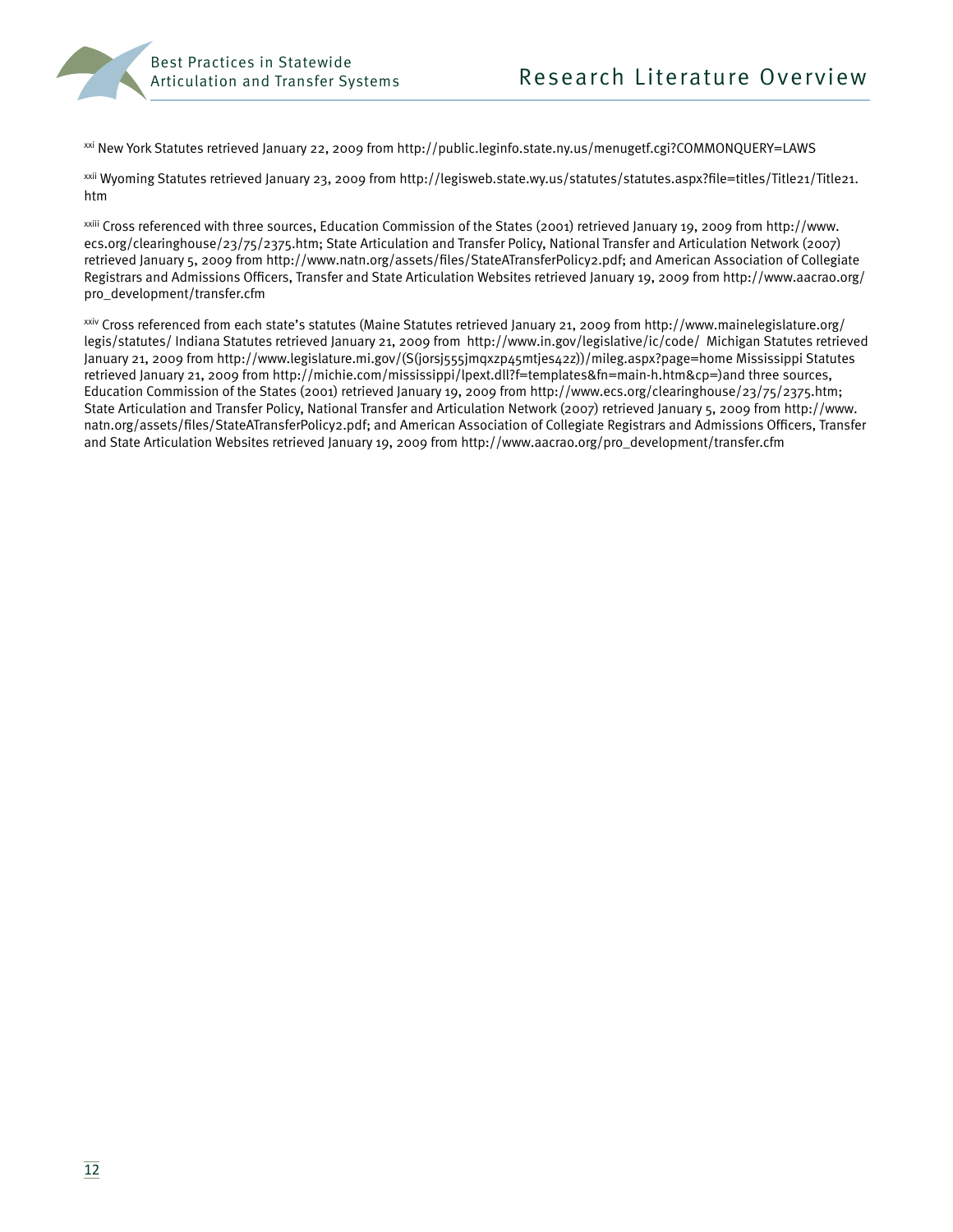

xxi New York Statutes retrieved January 22, 2009 from http://public.leginfo.state.ny.us/menugetf.cgi?COMMONQUERY=LAWS

xxii Wyoming Statutes retrieved January 23, 2009 from http://legisweb.state.wy.us/statutes/statutes.aspx?file=titles/Title21/Title21. htm

xxiii Cross referenced with three sources, Education Commission of the States (2001) retrieved January 19, 2009 from http://www. ecs.org/clearinghouse/23/75/2375.htm; State Articulation and Transfer Policy, National Transfer and Articulation Network (2007) retrieved January 5, 2009 from http://www.natn.org/assets/files/StateATransferPolicy2.pdf; and American Association of Collegiate Registrars and Admissions Officers, Transfer and State Articulation Websites retrieved January 19, 2009 from http://www.aacrao.org/ pro\_development/transfer.cfm

xxiv Cross referenced from each state's statutes (Maine Statutes retrieved January 21, 2009 from http://www.mainelegislature.org/ legis/statutes/ Indiana Statutes retrieved January 21, 2009 from http://www.in.gov/legislative/ic/code/ Michigan Statutes retrieved January 21, 2009 from http://www.legislature.mi.gov/(S(jorsj555jmqxzp45mtjes42z))/mileg.aspx?page=home Mississippi Statutes retrieved January 21, 2009 from http://michie.com/mississippi/lpext.dll?f=templates&fn=main-h.htm&cp=)and three sources, Education Commission of the States (2001) retrieved January 19, 2009 from http://www.ecs.org/clearinghouse/23/75/2375.htm; State Articulation and Transfer Policy, National Transfer and Articulation Network (2007) retrieved January 5, 2009 from http://www. natn.org/assets/files/StateATransferPolicy2.pdf; and American Association of Collegiate Registrars and Admissions Officers, Transfer and State Articulation Websites retrieved January 19, 2009 from http://www.aacrao.org/pro\_development/transfer.cfm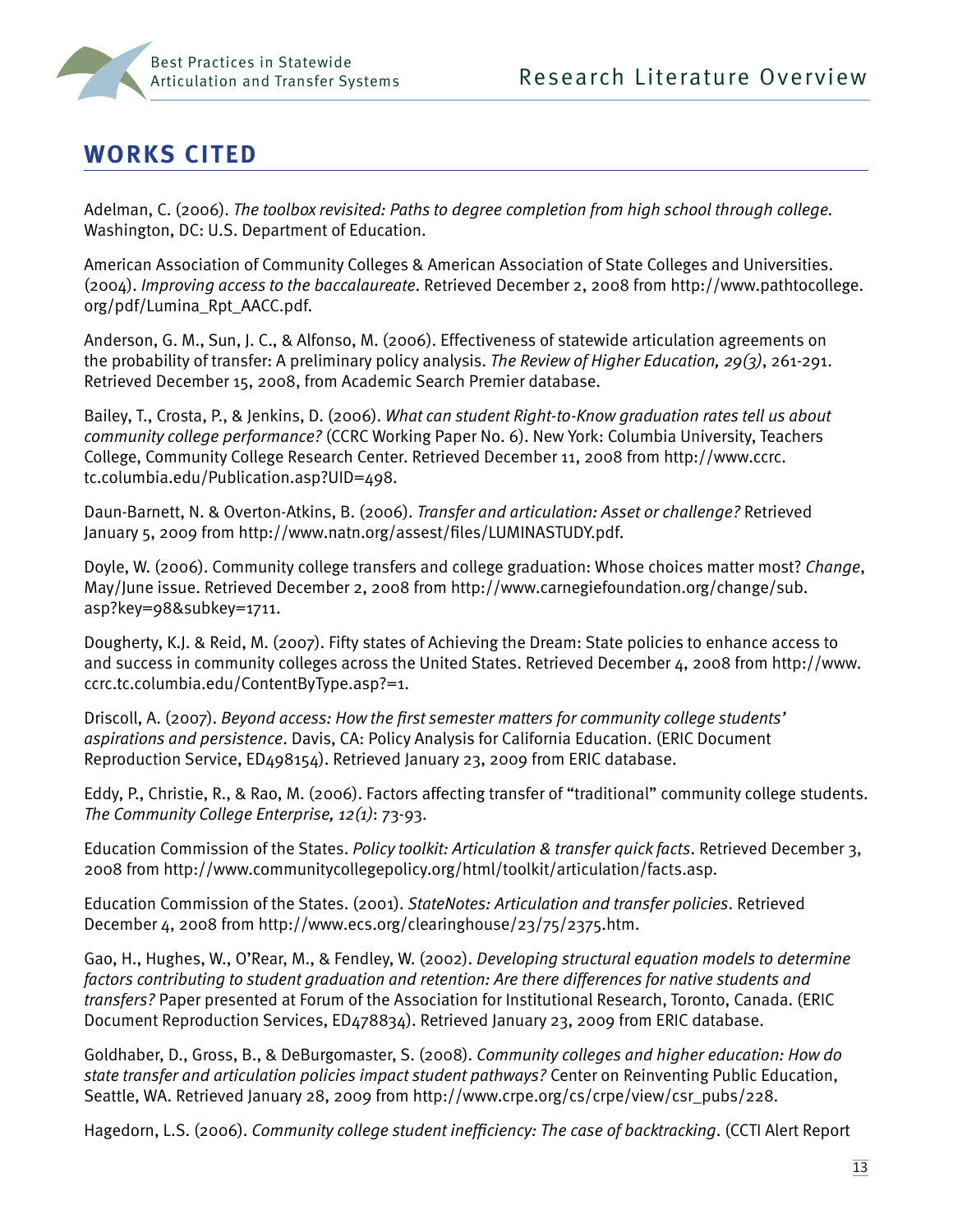

### **Works Cited**

Adelman, C. (2006). *The toolbox revisited: Paths to degree completion from high school through college.* Washington, DC: U.S. Department of Education.

American Association of Community Colleges & American Association of State Colleges and Universities. (2004). *Improving access to the baccalaureate*. Retrieved December 2, 2008 from http://www.pathtocollege. org/pdf/Lumina\_Rpt\_AACC.pdf.

Anderson, G. M., Sun, J. C., & Alfonso, M. (2006). Effectiveness of statewide articulation agreements on the probability of transfer: A preliminary policy analysis. *The Review of Higher Education, 29(3)*, 261-291. Retrieved December 15, 2008, from Academic Search Premier database.

Bailey, T., Crosta, P., & Jenkins, D. (2006). *What can student Right-to-Know graduation rates tell us about community college performance?* (CCRC Working Paper No. 6). New York: Columbia University, Teachers College, Community College Research Center. Retrieved December 11, 2008 from http://www.ccrc. tc.columbia.edu/Publication.asp?UID=498.

Daun-Barnett, N. & Overton-Atkins, B. (2006). *Transfer and articulation: Asset or challenge?* Retrieved January 5, 2009 from http://www.natn.org/assest/files/LUMINASTUDY.pdf.

Doyle, W. (2006). Community college transfers and college graduation: Whose choices matter most? *Change*, May/June issue. Retrieved December 2, 2008 from http://www.carnegiefoundation.org/change/sub. asp?key=98&subkey=1711.

Dougherty, K.J. & Reid, M. (2007). Fifty states of Achieving the Dream: State policies to enhance access to and success in community colleges across the United States. Retrieved December 4, 2008 from http://www. ccrc.tc.columbia.edu/ContentByType.asp?=1.

Driscoll, A. (2007). *Beyond access: How the first semester matters for community college students' aspirations and persistence*. Davis, CA: Policy Analysis for California Education. (ERIC Document Reproduction Service, ED498154). Retrieved January 23, 2009 from ERIC database.

Eddy, P., Christie, R., & Rao, M. (2006). Factors affecting transfer of "traditional" community college students. *The Community College Enterprise, 12(1)*: 73-93.

Education Commission of the States. *Policy toolkit: Articulation & transfer quick facts*. Retrieved December 3, 2008 from http://www.communitycollegepolicy.org/html/toolkit/articulation/facts.asp.

Education Commission of the States. (2001). *StateNotes: Articulation and transfer policies*. Retrieved December 4, 2008 from http://www.ecs.org/clearinghouse/23/75/2375.htm.

Gao, H., Hughes, W., O'Rear, M., & Fendley, W. (2002). *Developing structural equation models to determine factors contributing to student graduation and retention: Are there differences for native students and transfers?* Paper presented at Forum of the Association for Institutional Research, Toronto, Canada. (ERIC Document Reproduction Services, ED478834). Retrieved January 23, 2009 from ERIC database.

Goldhaber, D., Gross, B., & DeBurgomaster, S. (2008). *Community colleges and higher education: How do state transfer and articulation policies impact student pathways?* Center on Reinventing Public Education, Seattle, WA. Retrieved January 28, 2009 from http://www.crpe.org/cs/crpe/view/csr\_pubs/228.

Hagedorn, L.S. (2006). *Community college student inefficiency: The case of backtracking*. (CCTI Alert Report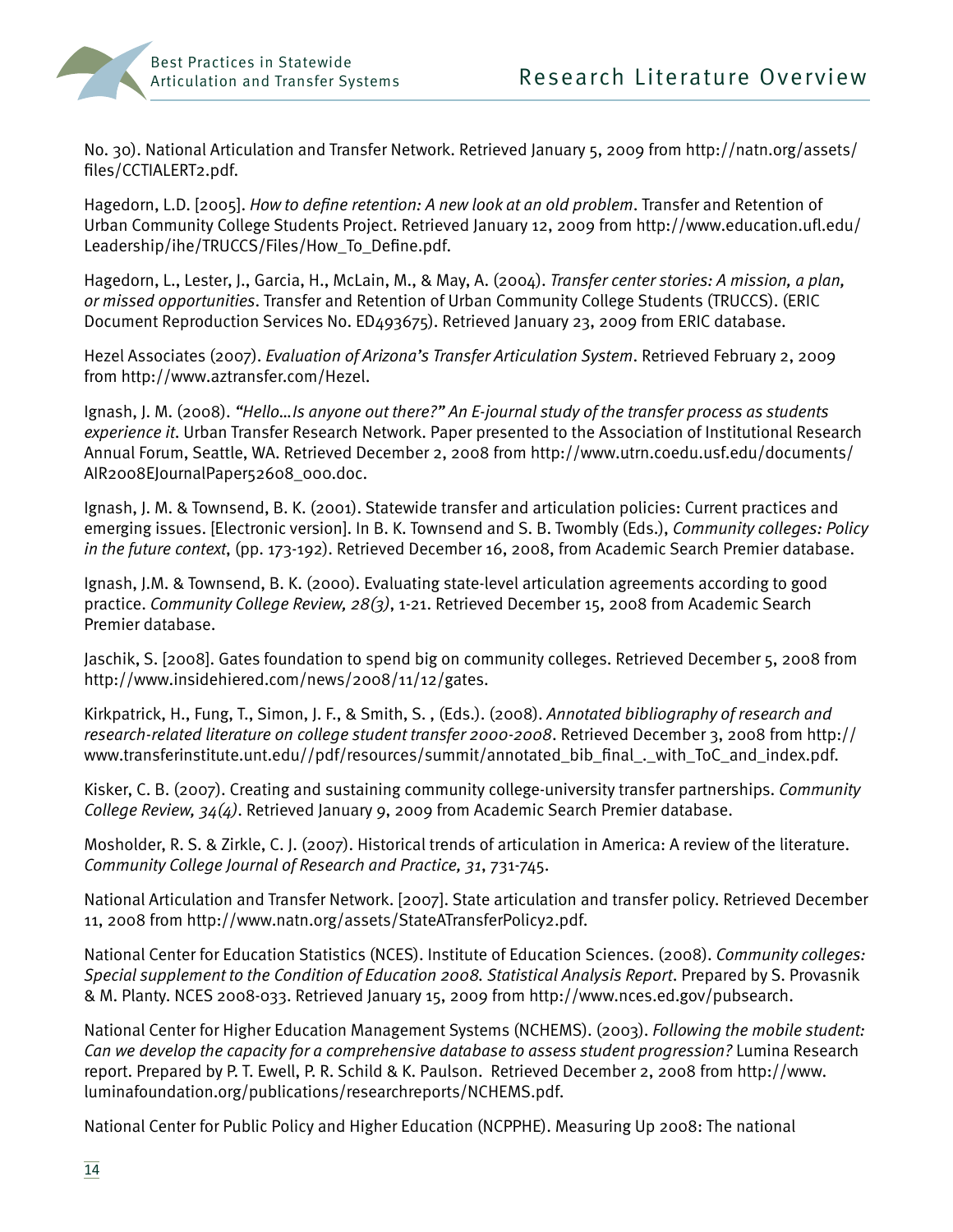No. 30). National Articulation and Transfer Network. Retrieved January 5, 2009 from http://natn.org/assets/ files/CCTIALERT2.pdf.

Hagedorn, L.D. [2005]. *How to define retention: A new look at an old problem*. Transfer and Retention of Urban Community College Students Project. Retrieved January 12, 2009 from http://www.education.ufl.edu/ Leadership/ihe/TRUCCS/Files/How\_To\_Define.pdf.

Hagedorn, L., Lester, J., Garcia, H., McLain, M., & May, A. (2004). *Transfer center stories: A mission, a plan, or missed opportunities*. Transfer and Retention of Urban Community College Students (TRUCCS). (ERIC Document Reproduction Services No. ED493675). Retrieved January 23, 2009 from ERIC database.

Hezel Associates (2007). *Evaluation of Arizona's Transfer Articulation System*. Retrieved February 2, 2009 from http://www.aztransfer.com/Hezel.

Ignash, J. M. (2008). *"Hello…Is anyone out there?" An E-journal study of the transfer process as students experience it*. Urban Transfer Research Network. Paper presented to the Association of Institutional Research Annual Forum, Seattle, WA. Retrieved December 2, 2008 from http://www.utrn.coedu.usf.edu/documents/ AIR2008EJournalPaper52608\_000.doc.

Ignash, J. M. & Townsend, B. K. (2001). Statewide transfer and articulation policies: Current practices and emerging issues. [Electronic version]. In B. K. Townsend and S. B. Twombly (Eds.), *Community colleges: Policy in the future context*, (pp. 173-192). Retrieved December 16, 2008, from Academic Search Premier database.

Ignash, J.M. & Townsend, B. K. (2000). Evaluating state-level articulation agreements according to good practice. *Community College Review, 28(3)*, 1-21. Retrieved December 15, 2008 from Academic Search Premier database.

Jaschik, S. [2008]. Gates foundation to spend big on community colleges. Retrieved December 5, 2008 from http://www.insidehiered.com/news/2008/11/12/gates.

Kirkpatrick, H., Fung, T., Simon, J. F., & Smith, S. , (Eds.). (2008). *Annotated bibliography of research and research-related literature on college student transfer 2000-2008*. Retrieved December 3, 2008 from http:// www.transferinstitute.unt.edu//pdf/resources/summit/annotated\_bib\_final\_. with\_ToC\_and\_index.pdf.

Kisker, C. B. (2007). Creating and sustaining community college-university transfer partnerships. *Community College Review, 34(4)*. Retrieved January 9, 2009 from Academic Search Premier database.

Mosholder, R. S. & Zirkle, C. J. (2007). Historical trends of articulation in America: A review of the literature. *Community College Journal of Research and Practice, 31*, 731-745.

National Articulation and Transfer Network. [2007]. State articulation and transfer policy. Retrieved December 11, 2008 from http://www.natn.org/assets/StateATransferPolicy2.pdf.

National Center for Education Statistics (NCES). Institute of Education Sciences. (2008). *Community colleges: Special supplement to the Condition of Education 2008. Statistical Analysis Report*. Prepared by S. Provasnik & M. Planty. NCES 2008-033. Retrieved January 15, 2009 from http://www.nces.ed.gov/pubsearch.

National Center for Higher Education Management Systems (NCHEMS). (2003). *Following the mobile student: Can we develop the capacity for a comprehensive database to assess student progression?* Lumina Research report. Prepared by P. T. Ewell, P. R. Schild & K. Paulson. Retrieved December 2, 2008 from http://www. luminafoundation.org/publications/researchreports/NCHEMS.pdf.

National Center for Public Policy and Higher Education (NCPPHE). Measuring Up 2008: The national